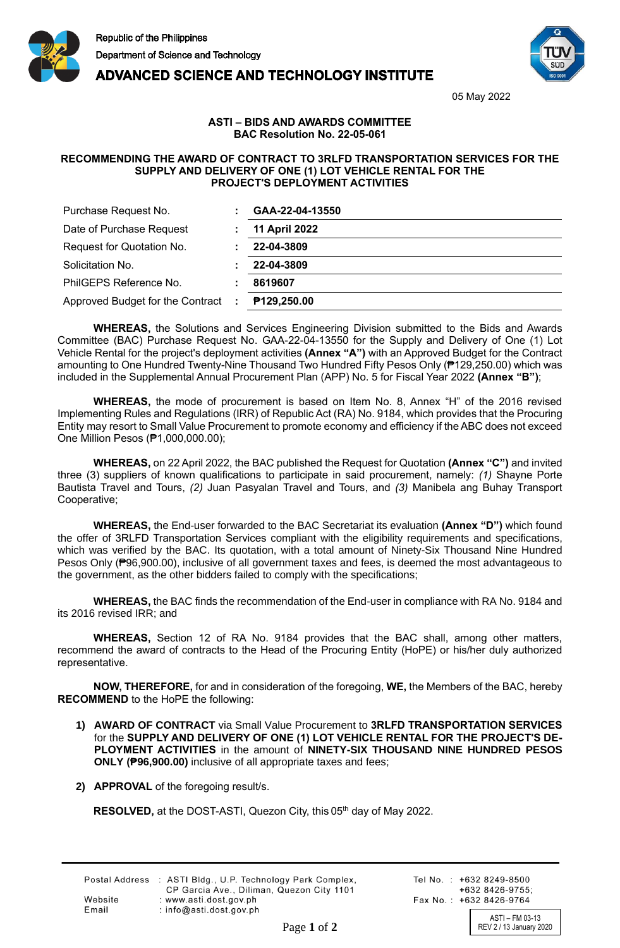

**ADVANCED SCIENCE AND TECHNOLOGY INSTITUTE** 



05 May 2022

## **ASTI – BIDS AND AWARDS COMMITTEE BAC Resolution No. 22-05-061**

## **RECOMMENDING THE AWARD OF CONTRACT TO 3RLFD TRANSPORTATION SERVICES FOR THE SUPPLY AND DELIVERY OF ONE (1) LOT VEHICLE RENTAL FOR THE PROJECT'S DEPLOYMENT ACTIVITIES**

| Purchase Request No.             |   | GAA-22-04-13550         |
|----------------------------------|---|-------------------------|
| Date of Purchase Request         |   | <b>11 April 2022</b>    |
| Request for Quotation No.        |   | 22-04-3809              |
| Solicitation No.                 |   | 22-04-3809              |
| PhilGEPS Reference No.           |   | 8619607                 |
| Approved Budget for the Contract | ÷ | P <sub>129,250.00</sub> |

**WHEREAS,** the Solutions and Services Engineering Division submitted to the Bids and Awards Committee (BAC) Purchase Request No. GAA-22-04-13550 for the Supply and Delivery of One (1) Lot Vehicle Rental for the project's deployment activities **(Annex "A")** with an Approved Budget for the Contract amounting to One Hundred Twenty-Nine Thousand Two Hundred Fifty Pesos Only (₱129,250.00) which was included in the Supplemental Annual Procurement Plan (APP) No. 5 for Fiscal Year 2022 **(Annex "B")**;

**WHEREAS,** the mode of procurement is based on Item No. 8, Annex "H" of the 2016 revised Implementing Rules and Regulations (IRR) of Republic Act (RA) No. 9184, which provides that the Procuring Entity may resort to Small Value Procurement to promote economy and efficiency if the ABC does not exceed One Million Pesos (₱1,000,000.00);

**WHEREAS,** on 22 April 2022, the BAC published the Request for Quotation **(Annex "C")** and invited three (3) suppliers of known qualifications to participate in said procurement, namely: *(1)* Shayne Porte Bautista Travel and Tours, *(2)* Juan Pasyalan Travel and Tours, and *(3)* Manibela ang Buhay Transport Cooperative;

**WHEREAS,** the End-user forwarded to the BAC Secretariat its evaluation **(Annex "D")** which found the offer of 3RLFD Transportation Services compliant with the eligibility requirements and specifications, which was verified by the BAC. Its quotation, with a total amount of Ninety-Six Thousand Nine Hundred Pesos Only (₱96,900.00), inclusive of all government taxes and fees, is deemed the most advantageous to the government, as the other bidders failed to comply with the specifications;

**WHEREAS,** the BAC finds the recommendation of the End-user in compliance with RA No. 9184 and its 2016 revised IRR; and

**WHEREAS,** Section 12 of RA No. 9184 provides that the BAC shall, among other matters, recommend the award of contracts to the Head of the Procuring Entity (HoPE) or his/her duly authorized representative.

**NOW, THEREFORE,** for and in consideration of the foregoing, **WE,** the Members of the BAC, hereby **RECOMMEND** to the HoPE the following:

- **1) AWARD OF CONTRACT** via Small Value Procurement to **3RLFD TRANSPORTATION SERVICES**  for the **SUPPLY AND DELIVERY OF ONE (1) LOT VEHICLE RENTAL FOR THE PROJECT'S DE-PLOYMENT ACTIVITIES** in the amount of **NINETY-SIX THOUSAND NINE HUNDRED PESOS ONLY (₱96,900.00)** inclusive of all appropriate taxes and fees;
- **2) APPROVAL** of the foregoing result/s.

**RESOLVED,** at the DOST-ASTI, Quezon City, this 05<sup>th</sup> day of May 2022.